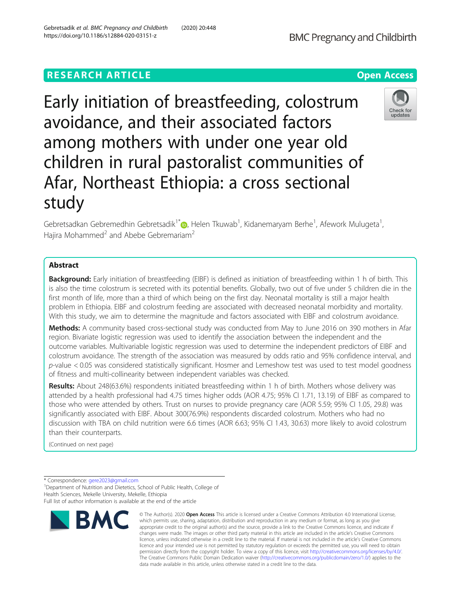# **RESEARCH ARTICLE Example 2014 12:30 The Contract of Contract ACCESS**

Early initiation of breastfeeding, colostrum avoidance, and their associated factors among mothers with under one year old children in rural pastoralist communities of Afar, Northeast Ethiopia: a cross sectional study

Gebretsadkan Gebremedhin Gebretsadik<sup>1[\\*](http://orcid.org/0000-0002-8437-1751)</sup>@, Helen Tkuwab<sup>1</sup>, Kidanemaryam Berhe<sup>1</sup>, Afework Mulugeta<sup>1</sup> , Hajira Mohammed<sup>2</sup> and Abebe Gebremariam<sup>2</sup>

# Abstract

**Background:** Early initiation of breastfeeding (EIBF) is defined as initiation of breastfeeding within 1 h of birth. This is also the time colostrum is secreted with its potential benefits. Globally, two out of five under 5 children die in the first month of life, more than a third of which being on the first day. Neonatal mortality is still a major health problem in Ethiopia. EIBF and colostrum feeding are associated with decreased neonatal morbidity and mortality. With this study, we aim to determine the magnitude and factors associated with EIBF and colostrum avoidance.

Methods: A community based cross-sectional study was conducted from May to June 2016 on 390 mothers in Afar region. Bivariate logistic regression was used to identify the association between the independent and the outcome variables. Multivariable logistic regression was used to determine the independent predictors of EIBF and colostrum avoidance. The strength of the association was measured by odds ratio and 95% confidence interval, and p-value < 0.05 was considered statistically significant. Hosmer and Lemeshow test was used to test model goodness of fitness and multi-collinearity between independent variables was checked.

Results: About 248(63.6%) respondents initiated breastfeeding within 1 h of birth. Mothers whose delivery was attended by a health professional had 4.75 times higher odds (AOR 4.75; 95% CI 1.71, 13.19) of EIBF as compared to those who were attended by others. Trust on nurses to provide pregnancy care (AOR 5.59; 95% CI 1.05, 29.8) was significantly associated with EIBF. About 300(76.9%) respondents discarded colostrum. Mothers who had no discussion with TBA on child nutrition were 6.6 times (AOR 6.63; 95% CI 1.43, 30.63) more likely to avoid colostrum than their counterparts.

(Continued on next page)

\* Correspondence: [gere2023@gmail.com](mailto:gere2023@gmail.com) <sup>1</sup>

**BMC** 

<sup>1</sup>Department of Nutrition and Dietetics, School of Public Health, College of Health Sciences, Mekelle University, Mekelle, Ethiopia

which permits use, sharing, adaptation, distribution and reproduction in any medium or format, as long as you give appropriate credit to the original author(s) and the source, provide a link to the Creative Commons licence, and indicate if changes were made. The images or other third party material in this article are included in the article's Creative Commons licence, unless indicated otherwise in a credit line to the material. If material is not included in the article's Creative Commons licence and your intended use is not permitted by statutory regulation or exceeds the permitted use, you will need to obtain permission directly from the copyright holder. To view a copy of this licence, visit [http://creativecommons.org/licenses/by/4.0/.](http://creativecommons.org/licenses/by/4.0/) The Creative Commons Public Domain Dedication waiver [\(http://creativecommons.org/publicdomain/zero/1.0/](http://creativecommons.org/publicdomain/zero/1.0/)) applies to the data made available in this article, unless otherwise stated in a credit line to the data.

© The Author(s), 2020 **Open Access** This article is licensed under a Creative Commons Attribution 4.0 International License,



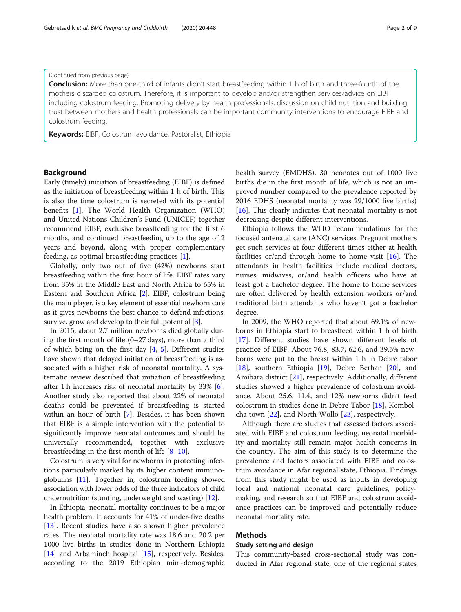Conclusion: More than one-third of infants didn't start breastfeeding within 1 h of birth and three-fourth of the mothers discarded colostrum. Therefore, it is important to develop and/or strengthen services/advice on EIBF including colostrum feeding. Promoting delivery by health professionals, discussion on child nutrition and building trust between mothers and health professionals can be important community interventions to encourage EIBF and colostrum feeding.

Keywords: EIBF, Colostrum avoidance, Pastoralist, Ethiopia

# Background

Early (timely) initiation of breastfeeding (EIBF) is defined as the initiation of breastfeeding within 1 h of birth. This is also the time colostrum is secreted with its potential benefits [\[1](#page-6-0)]. The World Health Organization (WHO) and United Nations Children's Fund (UNICEF) together recommend EIBF, exclusive breastfeeding for the first 6 months, and continued breastfeeding up to the age of 2 years and beyond, along with proper complementary feeding, as optimal breastfeeding practices [[1\]](#page-6-0).

Globally, only two out of five (42%) newborns start breastfeeding within the first hour of life. EIBF rates vary from 35% in the Middle East and North Africa to 65% in Eastern and Southern Africa [\[2](#page-6-0)]. EIBF, colostrum being the main player, is a key element of essential newborn care as it gives newborns the best chance to defend infections, survive, grow and develop to their full potential [\[3](#page-6-0)].

In 2015, about 2.7 million newborns died globally during the first month of life (0–27 days), more than a third of which being on the first day [\[4](#page-6-0), [5](#page-6-0)]. Different studies have shown that delayed initiation of breastfeeding is associated with a higher risk of neonatal mortality. A systematic review described that initiation of breastfeeding after 1 h increases risk of neonatal mortality by 33% [\[6](#page-7-0)]. Another study also reported that about 22% of neonatal deaths could be prevented if breastfeeding is started within an hour of birth [[7\]](#page-7-0). Besides, it has been shown that EIBF is a simple intervention with the potential to significantly improve neonatal outcomes and should be universally recommended, together with exclusive breastfeeding in the first month of life [[8](#page-7-0)–[10\]](#page-7-0).

Colostrum is very vital for newborns in protecting infections particularly marked by its higher content immunoglobulins [[11](#page-7-0)]. Together in, colostrum feeding showed association with lower odds of the three indicators of child undernutrition (stunting, underweight and wasting) [\[12\]](#page-7-0).

In Ethiopia, neonatal mortality continues to be a major health problem. It accounts for 41% of under-five deaths [[13\]](#page-7-0). Recent studies have also shown higher prevalence rates. The neonatal mortality rate was 18.6 and 20.2 per 1000 live births in studies done in Northern Ethiopia [[14\]](#page-7-0) and Arbaminch hospital [[15](#page-7-0)], respectively. Besides, according to the 2019 Ethiopian mini-demographic health survey (EMDHS), 30 neonates out of 1000 live births die in the first month of life, which is not an improved number compared to the prevalence reported by 2016 EDHS (neonatal mortality was 29/1000 live births) [[16\]](#page-7-0). This clearly indicates that neonatal mortality is not decreasing despite different interventions.

Ethiopia follows the WHO recommendations for the focused antenatal care (ANC) services. Pregnant mothers get such services at four different times either at health facilities or/and through home to home visit  $[16]$  $[16]$ . The attendants in health facilities include medical doctors, nurses, midwives, or/and health officers who have at least got a bachelor degree. The home to home services are often delivered by health extension workers or/and traditional birth attendants who haven't got a bachelor degree.

In 2009, the WHO reported that about 69.1% of newborns in Ethiopia start to breastfeed within 1 h of birth [[17\]](#page-7-0). Different studies have shown different levels of practice of EIBF. About 76.8, 83.7, 62.6, and 39.6% newborns were put to the breast within 1 h in Debre tabor [[18\]](#page-7-0), southern Ethiopia [\[19](#page-7-0)], Debre Berhan [[20\]](#page-7-0), and Amibara district [[21\]](#page-7-0), respectively. Additionally, different studies showed a higher prevalence of colostrum avoidance. About 25.6, 11.4, and 12% newborns didn't feed colostrum in studies done in Debre Tabor [\[18](#page-7-0)], Kombolcha town  $[22]$  $[22]$ , and North Wollo  $[23]$  $[23]$  $[23]$ , respectively.

Although there are studies that assessed factors associated with EIBF and colostrum feeding, neonatal morbidity and mortality still remain major health concerns in the country. The aim of this study is to determine the prevalence and factors associated with EIBF and colostrum avoidance in Afar regional state, Ethiopia. Findings from this study might be used as inputs in developing local and national neonatal care guidelines, policymaking, and research so that EIBF and colostrum avoidance practices can be improved and potentially reduce neonatal mortality rate.

# Methods

# Study setting and design

This community-based cross-sectional study was conducted in Afar regional state, one of the regional states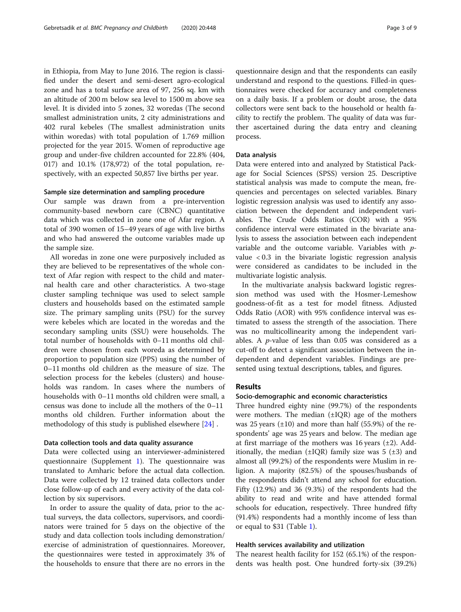in Ethiopia, from May to June 2016. The region is classified under the desert and semi-desert agro-ecological zone and has a total surface area of 97, 256 sq. km with an altitude of 200 m below sea level to 1500 m above sea level. It is divided into 5 zones, 32 woredas (The second smallest administration units, 2 city administrations and 402 rural kebeles (The smallest administration units within woredas) with total population of 1.769 million projected for the year 2015. Women of reproductive age group and under-five children accounted for 22.8% (404, 017) and 10.1% (178,972) of the total population, respectively, with an expected 50,857 live births per year.

## Sample size determination and sampling procedure

Our sample was drawn from a pre-intervention community-based newborn care (CBNC) quantitative data which was collected in zone one of Afar region. A total of 390 women of 15–49 years of age with live births and who had answered the outcome variables made up the sample size.

All woredas in zone one were purposively included as they are believed to be representatives of the whole context of Afar region with respect to the child and maternal health care and other characteristics. A two-stage cluster sampling technique was used to select sample clusters and households based on the estimated sample size. The primary sampling units (PSU) for the survey were kebeles which are located in the woredas and the secondary sampling units (SSU) were households. The total number of households with 0–11 months old children were chosen from each woreda as determined by proportion to population size (PPS) using the number of 0–11 months old children as the measure of size. The selection process for the kebeles (clusters) and households was random. In cases where the numbers of households with 0–11 months old children were small, a census was done to include all the mothers of the 0–11 months old children. Further information about the methodology of this study is published elsewhere [[24\]](#page-7-0) .

# Data collection tools and data quality assurance

Data were collected using an interviewer-administered questionnaire (Supplement [1\)](#page-6-0). The questionnaire was translated to Amharic before the actual data collection. Data were collected by 12 trained data collectors under close follow-up of each and every activity of the data collection by six supervisors.

In order to assure the quality of data, prior to the actual surveys, the data collectors, supervisors, and coordinators were trained for 5 days on the objective of the study and data collection tools including demonstration/ exercise of administration of questionnaires. Moreover, the questionnaires were tested in approximately 3% of the households to ensure that there are no errors in the questionnaire design and that the respondents can easily understand and respond to the questions. Filled-in questionnaires were checked for accuracy and completeness on a daily basis. If a problem or doubt arose, the data collectors were sent back to the household or health facility to rectify the problem. The quality of data was further ascertained during the data entry and cleaning process.

#### Data analysis

Data were entered into and analyzed by Statistical Package for Social Sciences (SPSS) version 25. Descriptive statistical analysis was made to compute the mean, frequencies and percentages on selected variables. Binary logistic regression analysis was used to identify any association between the dependent and independent variables. The Crude Odds Ratios (COR) with a 95% confidence interval were estimated in the bivariate analysis to assess the association between each independent variable and the outcome variable. Variables with pvalue  $< 0.3$  in the bivariate logistic regression analysis were considered as candidates to be included in the multivariate logistic analysis.

In the multivariate analysis backward logistic regression method was used with the Hosmer-Lemeshow goodness-of-fit as a test for model fitness. Adjusted Odds Ratio (AOR) with 95% confidence interval was estimated to assess the strength of the association. There was no multicollinearity among the independent variables. A  $p$ -value of less than 0.05 was considered as a cut-off to detect a significant association between the independent and dependent variables. Findings are presented using textual descriptions, tables, and figures.

# Results

# Socio-demographic and economic characteristics

Three hundred eighty nine (99.7%) of the respondents were mothers. The median  $(\pm IQR)$  age of the mothers was 25 years  $(\pm 10)$  and more than half (55.9%) of the respondents' age was 25 years and below. The median age at first marriage of the mothers was  $16$  years  $(\pm 2)$ . Additionally, the median  $(\pm IQR)$  family size was 5  $(\pm 3)$  and almost all (99.2%) of the respondents were Muslim in religion. A majority (82.5%) of the spouses/husbands of the respondents didn't attend any school for education. Fifty (12.9%) and 36 (9.3%) of the respondents had the ability to read and write and have attended formal schools for education, respectively. Three hundred fifty (91.4%) respondents had a monthly income of less than or equal to \$31 (Table [1](#page-3-0)).

## Health services availability and utilization

The nearest health facility for 152 (65.1%) of the respondents was health post. One hundred forty-six (39.2%)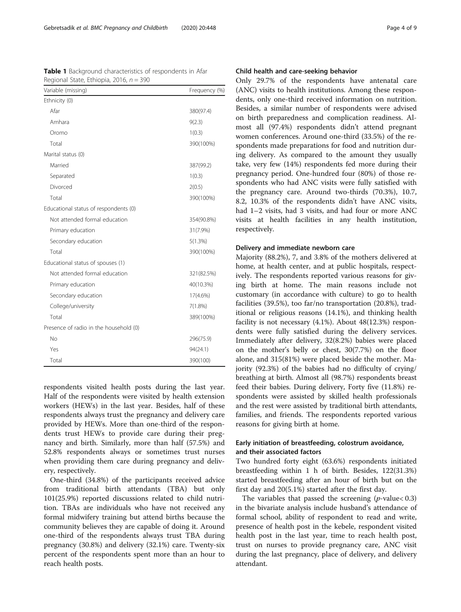<span id="page-3-0"></span>

| <b>Table 1</b> Background characteristics of respondents in Afar |  |  |  |  |
|------------------------------------------------------------------|--|--|--|--|
| Regional State, Ethiopia, 2016, $n = 390$                        |  |  |  |  |

| Variable (missing)                     | Frequency (%) |
|----------------------------------------|---------------|
| Ethnicity (0)                          |               |
| Afar                                   | 380(97.4)     |
| Amhara                                 | 9(2.3)        |
| Oromo                                  | 1(0.3)        |
| Total                                  | 390(100%)     |
| Marital status (0)                     |               |
| Married                                | 387(99.2)     |
| Separated                              | 1(0.3)        |
| Divorced                               | 2(0.5)        |
| Total                                  | 390(100%)     |
| Educational status of respondents (0)  |               |
| Not attended formal education          | 354(90.8%)    |
| Primary education                      | 31(7.9%)      |
| Secondary education                    | 5(1.3%)       |
| Total                                  | 390(100%)     |
| Educational status of spouses (1)      |               |
| Not attended formal education          | 321(82.5%)    |
| Primary education                      | 40(10.3%)     |
| Secondary education                    | 17(4.6%)      |
| College/university                     | 7(1.8%)       |
| Total                                  | 389(100%)     |
| Presence of radio in the household (0) |               |
| No                                     | 296(75.9)     |
| Yes                                    | 94(24.1)      |
| Total                                  | 390(100)      |

respondents visited health posts during the last year. Half of the respondents were visited by health extension workers (HEWs) in the last year. Besides, half of these respondents always trust the pregnancy and delivery care provided by HEWs. More than one-third of the respondents trust HEWs to provide care during their pregnancy and birth. Similarly, more than half (57.5%) and 52.8% respondents always or sometimes trust nurses when providing them care during pregnancy and delivery, respectively.

One-third (34.8%) of the participants received advice from traditional birth attendants (TBA) but only 101(25.9%) reported discussions related to child nutrition. TBAs are individuals who have not received any formal midwifery training but attend births because the community believes they are capable of doing it. Around one-third of the respondents always trust TBA during pregnancy (30.8%) and delivery (32.1%) care. Twenty-six percent of the respondents spent more than an hour to reach health posts.

# Child health and care-seeking behavior

Only 29.7% of the respondents have antenatal care (ANC) visits to health institutions. Among these respondents, only one-third received information on nutrition. Besides, a similar number of respondents were advised on birth preparedness and complication readiness. Almost all (97.4%) respondents didn't attend pregnant women conferences. Around one-third (33.5%) of the respondents made preparations for food and nutrition during delivery. As compared to the amount they usually take, very few (14%) respondents fed more during their pregnancy period. One-hundred four (80%) of those respondents who had ANC visits were fully satisfied with the pregnancy care. Around two-thirds (70.3%), 10.7, 8.2, 10.3% of the respondents didn't have ANC visits, had 1–2 visits, had 3 visits, and had four or more ANC visits at health facilities in any health institution, respectively.

## Delivery and immediate newborn care

Majority (88.2%), 7, and 3.8% of the mothers delivered at home, at health center, and at public hospitals, respectively. The respondents reported various reasons for giving birth at home. The main reasons include not customary (in accordance with culture) to go to health facilities (39.5%), too far/no transportation (20.8%), traditional or religious reasons (14.1%), and thinking health facility is not necessary (4.1%). About 48(12.3%) respondents were fully satisfied during the delivery services. Immediately after delivery, 32(8.2%) babies were placed on the mother's belly or chest, 30(7.7%) on the floor alone, and 315(81%) were placed beside the mother. Majority (92.3%) of the babies had no difficulty of crying/ breathing at birth. Almost all (98.7%) respondents breast feed their babies. During delivery, Forty five (11.8%) respondents were assisted by skilled health professionals and the rest were assisted by traditional birth attendants, families, and friends. The respondents reported various reasons for giving birth at home.

# Early initiation of breastfeeding, colostrum avoidance, and their associated factors

Two hundred forty eight (63.6%) respondents initiated breastfeeding within 1 h of birth. Besides, 122(31.3%) started breastfeeding after an hour of birth but on the first day and 20(5.1%) started after the first day.

The variables that passed the screening  $(p$ -value $< 0.3)$ in the bivariate analysis include husband's attendance of formal school, ability of respondent to read and write, presence of health post in the kebele, respondent visited health post in the last year, time to reach health post, trust on nurses to provide pregnancy care, ANC visit during the last pregnancy, place of delivery, and delivery attendant.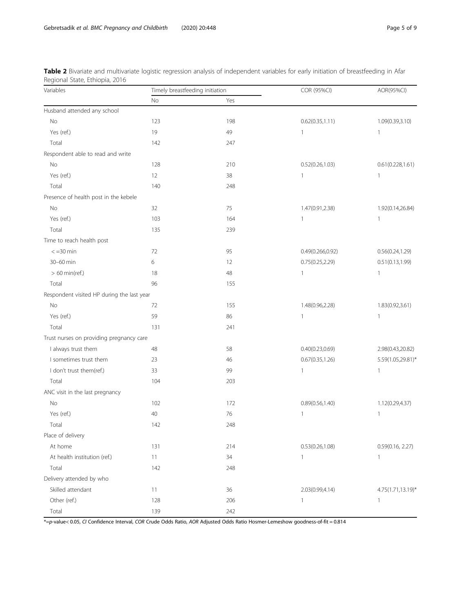<span id="page-4-0"></span>

| Table 2 Bivariate and multivariate logistic regression analysis of independent variables for early initiation of breastfeeding in Afar |  |  |  |  |
|----------------------------------------------------------------------------------------------------------------------------------------|--|--|--|--|
| Regional State, Ethiopia, 2016                                                                                                         |  |  |  |  |

| Variables                                  | Timely breastfeeding initiation |     | COR (95%CI)       | AOR(95%CI)        |  |
|--------------------------------------------|---------------------------------|-----|-------------------|-------------------|--|
|                                            | No<br>Yes                       |     |                   |                   |  |
| Husband attended any school                |                                 |     |                   |                   |  |
| No                                         | 123                             | 198 | 0.62(0.35, 1.11)  | 1.09(0.39,3.10)   |  |
| Yes (ref.)                                 | 19                              | 49  | $\mathbf{1}$      | $\mathbf{1}$      |  |
| Total                                      | 142                             | 247 |                   |                   |  |
| Respondent able to read and write          |                                 |     |                   |                   |  |
| No                                         | 128                             | 210 | 0.52(0.26, 1.03)  | 0.61(0.228, 1.61) |  |
| Yes (ref.)                                 | 12                              | 38  | $\mathbf{1}$      | $\mathbf{1}$      |  |
| Total                                      | 140                             | 248 |                   |                   |  |
| Presence of health post in the kebele      |                                 |     |                   |                   |  |
| No                                         | 32                              | 75  | 1.47(0.91,2.38)   | 1.92(0.14,26.84)  |  |
| Yes (ref.)                                 | 103                             | 164 | $\mathbf{1}$      | $\mathbf{1}$      |  |
| Total                                      | 135                             | 239 |                   |                   |  |
| Time to reach health post                  |                                 |     |                   |                   |  |
| $< = 30$ min                               | 72                              | 95  | 0.49(0.266, 0.92) | 0.56(0.24, 1.29)  |  |
| 30-60 min                                  | 6                               | 12  | 0.75(0.25, 2.29)  | 0.51(0.13, 1.99)  |  |
| $> 60$ min(ref.)                           | 18                              | 48  | $\mathbf{1}$      | $\mathbf{1}$      |  |
| Total                                      | 96                              | 155 |                   |                   |  |
| Respondent visited HP during the last year |                                 |     |                   |                   |  |
| No                                         | 72                              | 155 | 1.48(0.96,2.28)   | 1.83(0.92,3.61)   |  |
| Yes (ref.)                                 | 59                              | 86  | $\mathbf{1}$      | $\mathbf{1}$      |  |
| Total                                      | 131                             | 241 |                   |                   |  |
| Trust nurses on providing pregnancy care   |                                 |     |                   |                   |  |
| I always trust them                        | 48                              | 58  | 0.40(0.23, 0.69)  | 2.98(0.43,20.82)  |  |
| I sometimes trust them                     | 23                              | 46  | 0.67(0.35, 1.26)  | 5.59(1.05,29.81)* |  |
| I don't trust them(ref.)                   | 33                              | 99  | $\mathbf{1}$      | $\mathbf{1}$      |  |
| Total                                      | 104                             | 203 |                   |                   |  |
| ANC visit in the last pregnancy            |                                 |     |                   |                   |  |
| No                                         | 102                             | 172 | 0.89(0.56, 1.40)  | 1.12(0.29,4.37)   |  |
| Yes (ref.)                                 | 40                              | 76  | $\mathbf{1}$      | $\mathbf{1}$      |  |
| Total                                      | 142                             | 248 |                   |                   |  |
| Place of delivery                          |                                 |     |                   |                   |  |
| At home                                    | 131                             | 214 | 0.53(0.26, 1.08)  | 0.59(0.16, 2.27)  |  |
| At health institution (ref.)               | 11                              | 34  | $\mathbf{1}$      | $\mathbf{1}$      |  |
| Total                                      | 142                             | 248 |                   |                   |  |
| Delivery attended by who                   |                                 |     |                   |                   |  |
| Skilled attendant                          | 11                              | 36  | 2.03(0.99,4.14)   | 4.75(1.71,13.19)* |  |
| Other (ref.)                               | 128                             | 206 | $\mathbf{1}$      | $\mathbf{1}$      |  |
| Total                                      | 139                             | 242 |                   |                   |  |

\*=p-value< 0.05, CI Confidence Interval, COR Crude Odds Ratio, AOR Adjusted Odds Ratio Hosmer-Lemeshow goodness-of-fit = 0.814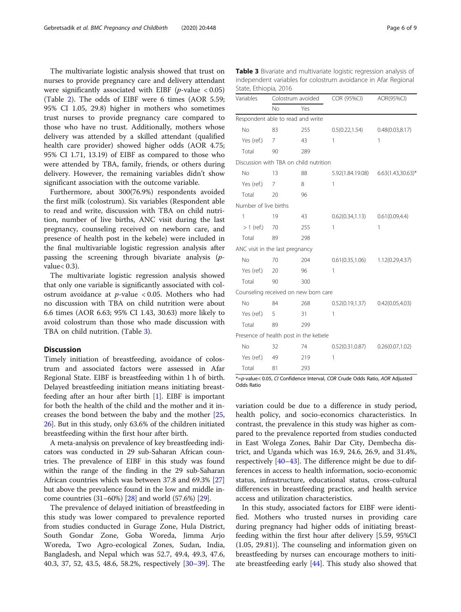The multivariate logistic analysis showed that trust on nurses to provide pregnancy care and delivery attendant were significantly associated with EIBF ( $p$ -value < 0.05) (Table [2](#page-4-0)). The odds of EIBF were 6 times (AOR 5.59; 95% CI 1.05, 29.8) higher in mothers who sometimes trust nurses to provide pregnancy care compared to those who have no trust. Additionally, mothers whose delivery was attended by a skilled attendant (qualified health care provider) showed higher odds (AOR 4.75; 95% CI 1.71, 13.19) of EIBF as compared to those who were attended by TBA, family, friends, or others during delivery. However, the remaining variables didn't show significant association with the outcome variable.

Furthermore, about 300(76.9%) respondents avoided the first milk (colostrum). Six variables (Respondent able to read and write, discussion with TBA on child nutrition, number of live births, ANC visit during the last pregnancy, counseling received on newborn care, and presence of health post in the kebele) were included in the final multivariable logistic regression analysis after passing the screening through bivariate analysis (pvalue< 0.3).

The multivariate logistic regression analysis showed that only one variable is significantly associated with colostrum avoidance at  $p$ -value < 0.05. Mothers who had no discussion with TBA on child nutrition were about 6.6 times (AOR 6.63; 95% CI 1.43, 30.63) more likely to avoid colostrum than those who made discussion with TBA on child nutrition. (Table 3).

# **Discussion**

Timely initiation of breastfeeding, avoidance of colostrum and associated factors were assessed in Afar Regional State. EIBF is breastfeeding within 1 h of birth. Delayed breastfeeding initiation means initiating breastfeeding after an hour after birth [[1\]](#page-6-0). EIBF is important for both the health of the child and the mother and it increases the bond between the baby and the mother [[25](#page-7-0), [26\]](#page-7-0). But in this study, only 63.6% of the children initiated breastfeeding within the first hour after birth.

A meta-analysis on prevalence of key breastfeeding indicators was conducted in 29 sub-Saharan African countries. The prevalence of EIBF in this study was found within the range of the finding in the 29 sub-Saharan African countries which was between 37.8 and 69.3% [[27](#page-7-0)] but above the prevalence found in the low and middle income countries (31–60%) [[28](#page-7-0)] and world (57.6%) [\[29\]](#page-7-0).

The prevalence of delayed initiation of breastfeeding in this study was lower compared to prevalence reported from studies conducted in Gurage Zone, Hula District, South Gondar Zone, Goba Woreda, Jimma Arjo Woreda, Two Agro-ecological Zones, Sudan, India, Bangladesh, and Nepal which was 52.7, 49.4, 49.3, 47.6, 40.3, 37, 52, 43.5, 48.6, 58.2%, respectively [[30](#page-7-0)–[39](#page-7-0)]. The

Table 3 Bivariate and multivariate logistic regression analysis of independent variables for colostrum avoidance in Afar Regional State, Ethiopia, 2016

| Variables                       | Colostrum avoided |                                        | COR (95%CI)                           | AOR(95%CI)                         |  |
|---------------------------------|-------------------|----------------------------------------|---------------------------------------|------------------------------------|--|
|                                 | No                | Yes                                    |                                       |                                    |  |
|                                 |                   | Respondent able to read and write      |                                       |                                    |  |
| <b>No</b>                       | 83                | 255                                    | 0.5(0.22, 1.54)                       | 0.48(0.03, 8.17)                   |  |
| Yes (ref.)                      | $\overline{7}$    | 43                                     | 1                                     | 1                                  |  |
| Total                           | 90                | 289                                    |                                       |                                    |  |
|                                 |                   | Discussion with TBA on child nutrition |                                       |                                    |  |
| No                              | 13                | 88                                     |                                       | 5.92(1.84.19.08) 6.63(1.43,30.63)* |  |
| Yes (ref.)                      | 7                 | 8                                      | 1                                     |                                    |  |
| Total                           | 20                | 96                                     |                                       |                                    |  |
| Number of live births           |                   |                                        |                                       |                                    |  |
| 1                               | 19                | 43                                     | 0.62(0.34,1.13)                       | 0.61(0.09,4.4)                     |  |
| $>1$ (ref.)                     | 70                | 255                                    | 1                                     | 1                                  |  |
| Total                           | 89                | 298                                    |                                       |                                    |  |
| ANC visit in the last pregnancy |                   |                                        |                                       |                                    |  |
| No                              | 70                | 204                                    | $0.61(0.35, 1.06)$ $1.12(0.29, 4.37)$ |                                    |  |
| Yes (ref.)                      | 20                | 96                                     | 1                                     |                                    |  |
| Total                           | 90                | 300                                    |                                       |                                    |  |
|                                 |                   | Counseling received on new born care   |                                       |                                    |  |
| No                              | 84                | 268                                    | $0.52(0.19,1.37)$ $0.42(0.05,4.03)$   |                                    |  |
| Yes (ref.)                      | 5                 | 31                                     | 1                                     |                                    |  |
| Total                           | 89                | 299                                    |                                       |                                    |  |
|                                 |                   | Presence of health post in the kebele  |                                       |                                    |  |
| <b>No</b>                       | 32                | 74                                     | 0.52(0.31,0.87)                       | 0.26(0.07, 1.02)                   |  |
| Yes (ref.)                      | 49                | 219                                    | 1                                     |                                    |  |
| Total                           | 81                | 293                                    |                                       |                                    |  |

\*=p-value< 0.05, CI Confidence Interval, COR Crude Odds Ratio, AOR Adjusted Odds Ratio

variation could be due to a difference in study period, health policy, and socio-economics characteristics. In contrast, the prevalence in this study was higher as compared to the prevalence reported from studies conducted in East Wolega Zones, Bahir Dar City, Dembecha district, and Uganda which was 16.9, 24.6, 26.9, and 31.4%, respectively [\[40](#page-7-0)–[43](#page-7-0)]. The difference might be due to differences in access to health information, socio-economic status, infrastructure, educational status, cross-cultural differences in breastfeeding practice, and health service access and utilization characteristics.

In this study, associated factors for EIBF were identified. Mothers who trusted nurses in providing care during pregnancy had higher odds of initiating breastfeeding within the first hour after delivery [5.59, 95%CI (1.05, 29.81)]. The counseling and information given on breastfeeding by nurses can encourage mothers to initiate breastfeeding early [[44](#page-7-0)]. This study also showed that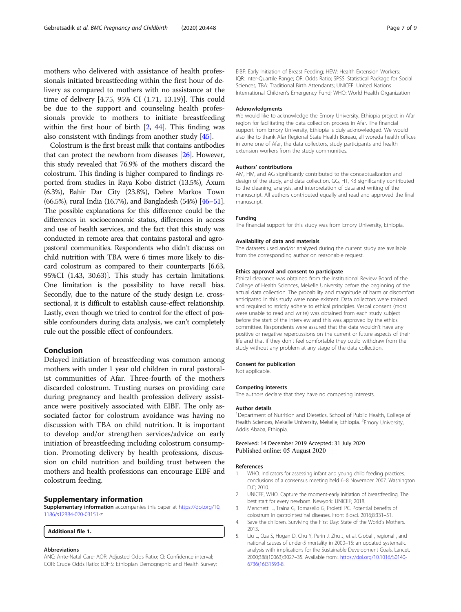<span id="page-6-0"></span>mothers who delivered with assistance of health professionals initiated breastfeeding within the first hour of delivery as compared to mothers with no assistance at the time of delivery [4.75, 95% CI (1.71, 13.19)]. This could be due to the support and counseling health professionals provide to mothers to initiate breastfeeding within the first hour of birth [2, [44\]](#page-7-0). This finding was also consistent with findings from another study [\[45\]](#page-7-0).

Colostrum is the first breast milk that contains antibodies that can protect the newborn from diseases [[26](#page-7-0)]. However, this study revealed that 76.9% of the mothers discard the colostrum. This finding is higher compared to findings reported from studies in Raya Kobo district (13.5%), Axum (6.3%), Bahir Dar City (23.8%), Debre Markos Town (66.5%), rural India (16.7%), and Bangladesh (54%) [[46](#page-7-0)–[51](#page-8-0)]. The possible explanations for this difference could be the differences in socioeconomic status, differences in access and use of health services, and the fact that this study was conducted in remote area that contains pastoral and agropastoral communities. Respondents who didn't discuss on child nutrition with TBA were 6 times more likely to discard colostrum as compared to their counterparts [6.63, 95%CI (1.43, 30.63)]. This study has certain limitations. One limitation is the possibility to have recall bias. Secondly, due to the nature of the study design i.e. crosssectional, it is difficult to establish cause-effect relationship. Lastly, even though we tried to control for the effect of possible confounders during data analysis, we can't completely rule out the possible effect of confounders.

# Conclusion

Delayed initiation of breastfeeding was common among mothers with under 1 year old children in rural pastoralist communities of Afar. Three-fourth of the mothers discarded colostrum. Trusting nurses on providing care during pregnancy and health profession delivery assistance were positively associated with EIBF. The only associated factor for colostrum avoidance was having no discussion with TBA on child nutrition. It is important to develop and/or strengthen services/advice on early initiation of breastfeeding including colostrum consumption. Promoting delivery by health professions, discussion on child nutrition and building trust between the mothers and health professions can encourage EIBF and colostrum feeding.

#### Supplementary information

Supplementary information accompanies this paper at [https://doi.org/10.](https://doi.org/10.1186/s12884-020-03151-z) [1186/s12884-020-03151-z.](https://doi.org/10.1186/s12884-020-03151-z)

#### Additional file 1.

#### Abbreviations

ANC: Ante-Natal Care; AOR: Adjusted Odds Ratio; CI: Confidence interval; COR: Crude Odds Ratio; EDHS: Ethiopian Demographic and Health Survey; EIBF: Early Initiation of Breast Feeding; HEW: Health Extension Workers; IQR: Inter-Quartile Range; OR: Odds Ratio; SPSS: Statistical Package for Social Sciences; TBA: Traditional Birth Attendants; UNICEF: United Nations International Children's Emergency Fund; WHO: World Health Organization

#### Acknowledgments

We would like to acknowledge the Emory University, Ethiopia project in Afar region for facilitating the data collection process in Afar. The financial support from Emory University, Ethiopia is duly acknowledged. We would also like to thank Afar Regional State Health Bureau, all woreda health offices in zone one of Afar, the data collectors, study participants and health extension workers from the study communities.

#### Authors' contributions

AM, HM, and AG significantly contributed to the conceptualization and design of the study, and data collection. GG, HT, KB significantly contributed to the cleaning, analysis, and interpretation of data and writing of the manuscript. All authors contributed equally and read and approved the final manuscript.

#### Funding

The financial support for this study was from Emory University, Ethiopia.

#### Availability of data and materials

The datasets used and/or analyzed during the current study are available from the corresponding author on reasonable request.

#### Ethics approval and consent to participate

Ethical clearance was obtained from the Institutional Review Board of the College of Health Sciences, Mekelle University before the beginning of the actual data collection. The probability and magnitude of harm or discomfort anticipated in this study were none existent. Data collectors were trained and required to strictly adhere to ethical principles. Verbal consent (most were unable to read and write) was obtained from each study subject before the start of the interview and this was approved by the ethics committee. Respondents were assured that the data wouldn't have any positive or negative repercussions on the current or future aspects of their life and that if they don't feel comfortable they could withdraw from the study without any problem at any stage of the data collection.

#### Consent for publication

Not applicable.

#### Competing interests

The authors declare that they have no competing interests.

#### Author details

<sup>1</sup>Department of Nutrition and Dietetics, School of Public Health, College of Health Sciences, Mekelle University, Mekelle, Ethiopia. <sup>2</sup>Emory University, Addis Ababa, Ethiopia.

#### Received: 14 December 2019 Accepted: 31 July 2020 Published online: 05 August 2020

#### References

- 1. WHO. Indicators for assessing infant and young child feeding practices. conclusions of a consensus meeting held 6–8 November 2007. Washington D.C; 2010.
- 2. UNICEF, WHO. Capture the moment-early initiation of breastfeeding. The best start for every newborn. Newyork: UNICEF; 2018.
- 3. Menchetti L, Traina G, Tomasello G, Proietti PC. Potential benefits of colostrum in gastrointestinal diseases. Front Biosci. 2016;8:331–51.
- 4. Save the children. Surviving the First Day: State of the World's Mothers. 2013.
- 5. Liu L, Oza S, Hogan D, Chu Y, Perin J, Zhu J, et al. Global , regional , and national causes of under-5 mortality in 2000–15: an updated systematic analysis with implications for the Sustainable Development Goals. Lancet. 2000;388(10063):3027–35. Available from:. [https://doi.org/10.1016/S0140-](https://doi.org/10.1016/S0140-6736(16)31593-8) [6736\(16\)31593-8](https://doi.org/10.1016/S0140-6736(16)31593-8).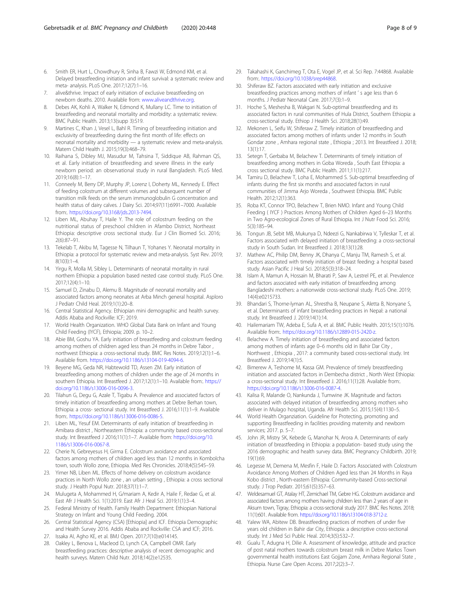- <span id="page-7-0"></span>6. Smith ER, Hurt L, Chowdhury R, Sinha B, Fawzi W, Edmond KM, et al. Delayed breastfeeding initiation and infant survival: a systematic review and meta- analysis. PLoS One. 2017;12(7):1–16.
- 7. alive&thrive. Impact of early initiation of exclusive breastfeeding on newborn deaths. 2010. Available from: [www.aliveandthrive.org](http://www.aliveandthrive.org).
- 8. Debes AK, Kohli A, Walker N, Edmond K, Mullany LC. Time to initiation of breastfeeding and neonatal mortality and morbidity: a systematic review. BMC Public Health. 2013;13(supp 3):S19.
- Martines C, Khan J, Vesel L, Bahl R. Timing of breastfeeding initiation and exclusivity of breastfeeding during the first month of life: effects on neonatal mortality and morbidity — a systematic review and meta-analysis. Matern Child Health J. 2015;19(3):468–79.
- 10. Raihana S, Dibley MJ, Masudur M, Tahsina T, Siddique AB, Rahman QS, et al. Early initiation of breastfeeding and severe illness in the early newborn period: an observational study in rural Bangladesh. PLoS Med. 2019;16(8):1–17.
- 11. Conneely M, Berry DP, Murphy JP, Lorenz I, Doherty ML, Kennedy E. Effect of feeding colostrum at different volumes and subsequent number of transition milk feeds on the serum immunoglobulin G concentration and health status of dairy calves. J Dairy Sci. 2014;97(11):6991–7000. Available from:. <https://doi.org/10.3168/jds.2013-7494>.
- 12. Liben ML, Abuhay T, Haile Y. The role of colostrum feeding on the nutritional status of preschool children in Afambo District, Northeast Ethiopia: descriptive cross sectional study. Eur J Clin Biomed Sci. 2016; 2(6):87–91.
- 13. Tekelab T, Akibu M, Tagesse N, Tilhaun T, Yohanes Y. Neonatal mortality in Ethiopia: a protocol for systematic review and meta-analysis. Syst Rev. 2019; 8(103):1–4.
- 14. Yirgu R, Molla M, Sibley L. Determinants of neonatal mortality in rural northern Ethiopia: a population based nested case control study. PLoS One. 2017;12(4):1–10.
- 15. Samuel D, Zinabu D, Alemu B. Magnitude of neonatal mortality and associated factors among neonates at Arba Minch general hospital. Asploro J Pediatr Child Heal. 2019;1(1):20–8.
- 16. Central Statistical Agency. Ethiopian mini demographic and health survey. Addis Ababa and Rockville: ICF; 2019.
- 17. World Health Organization. WHO Global Data Bank on Infant and Young Child Feeding (IYCF), Ethiopia; 2009. p. 10–2.
- 18. Abie BM, Goshu YA. Early initiation of breastfeeding and colostrum feeding among mothers of children aged less than 24 months in Debre Tabor northwest Ethiopia: a cross-sectional study. BMC Res Notes. 2019;12(1):1–6. Available from. [https://doi.org/10.1186/s13104-019-4094-6.](https://doi.org/10.1186/s13104-019-4094-6)
- 19. Beyene MG, Geda NR, Habtewold TD, Assen ZM. Early initiation of breastfeeding among mothers of children under the age of 24 months in southern Ethiopia. Int Breastfeed J. 2017;12(1):1–10. Available from:. [https://](https://doi.org/10.1186/s13006-016-0096-3) [doi.org/10.1186/s13006-016-0096-3](https://doi.org/10.1186/s13006-016-0096-3).
- 20. Tilahun G, Degu G, Azale T, Tigabu A. Prevalence and associated factors of timely initiation of breastfeeding among mothers at Debre Berhan town, Ethiopia: a cross- sectional study. Int Breastfeed J. 2016;11(1):1–9. Available from:. <https://doi.org/10.1186/s13006-016-0086-5>.
- 21. Liben ML, Yesuf EM. Determinants of early initiation of breastfeeding in Amibara district , Northeastern Ethiopia: a community based cross-sectional study. Int Breastfeed J 2016;11(1):1–7. Available from: [https://doi.org/10.](https://doi.org/10.1186/s13006-016-0067-8) [1186/s13006-016-0067-8.](https://doi.org/10.1186/s13006-016-0067-8)
- 22. Cherie N, Gebreyesus H, Girma E. Colostrum avoidance and associated factors among mothers of children aged less than 12 months in Kombolcha town, south Wollo zone, Ethiopia. Med Res Chronicles. 2018;4(5):545–59.
- 23. Yimer NB, Liben ML. Effects of home delivery on colostrum avoidance practices in North Wollo zone , an urban setting , Ethiopia: a cross sectional study. J Health Popul Nutr. 2018;37(1):1–7.
- 24. Mulugeta A, Mohammed H, G/mariam A, Kedir A, Haile F, Redae G, et al. East Afr J Health Sci. 1(1):2019. East Afr J Heal Sci. 2019;1(1):3–4.
- 25. Federal Ministry of Health. Family Health Department: Ethiopian National Strategy on Infant and Young Child Feeding. 2004.
- 26. Central Statistical Agency (CSA) [Ethiopia] and ICF. Ethiopia Demographic and Health Survey 2016. Addis Ababa and Rockville: CSA and ICF; 2016.
- 27. Issaka AI, Agho KE, et al. BMJ Open. 2017;7(10):e014145.
- 28. Oakley L, Benova L, Macleod D, Lynch CA, Campbell OMR. Early breastfeeding practices: descriptive analysis of recent demographic and health surveys. Matern Child Nutr. 2018;14(2):e12535.
- 29. Takahashi K, Ganchimeg T, Ota E, Vogel JP, et al. Sci Rep. 7:44868. Available from:. [https://doi.org/10.1038/srep44868.](https://doi.org/10.1038/srep44868)
- 30. Shiferaw BZ. Factors associated with early initiation and exclusive breastfeeding practices among mothers of infant ' s age less than 6 months. J Pediatr Neonatal Care. 2017;7(3):1–9.
- 31. Hoche S, Meshesha B, Wakgari N. Sub-optimal breastfeeding and its associated factors in rural communities of Hula District, Southern Ethiopia: a cross-sectional study. Ethiop J Health Sci. 2018;28(1):49.
- 32. Mekonen L, Seifu W, Shiferaw Z. Timely initiation of breastfeeding and associated factors among mothers of infants under 12 months in South Gondar zone , Amhara regional state , Ethiopia ; 2013. Int Breastfeed J. 2018; 13(1):17.
- 33. Setegn T, Gerbaba M, Belachew T. Determinants of timely initiation of breastfeeding among mothers in Goba Woreda , South East Ethiopia: a cross sectional study. BMC Public Health. 2011;11(1):217.
- 34. Tamiru D, Belachew T, Loha E, Mohammed S. Sub-optimal breastfeeding of infants during the first six months and associated factors in rural communities of Jimma Arjo Woreda , Southwest Ethiopia. BMC Public Health. 2012;12(1):363.
- 35. Roba KT, Connor TPO, Belachew T, Brien NMO. Infant and Young Child Feeding ( IYCF ) Practices Among Mothers of Children Aged 6–23 Months in Two Agro-ecological Zones of Rural Ethiopia. Int J Nutr Food Sci. 2016; 5(3):185–94.
- 36. Tongun JB, Sebit MB, Mukunya D, Ndeezi G, Nankabirwa V, Tylleskar T, et al. Factors associated with delayed initiation of breastfeeding: a cross-sectional study in South Sudan. Int Breastfeed J. 2018;13(1):28.
- 37. Mathew AC, Philip DM, Benny JK, Dhanya C, Manju TM, Ramesh S, et al. Factors associated with timely initiation of breast feeding: a hospital based study. Asian Pacific J Heal Sci. 2018;5(3):318–24.
- 38. Islam A, Mamun A, Hossain M, Bharati P, Saw A, Lestrel PE, et al. Prevalence and factors associated with early initiation of breastfeeding among Bangladeshi mothers: a nationwide cross-sectional study. PLoS One. 2019; 14(4):e0215733.
- 39. Bhandari S, Thorne-lyman AL, Shrestha B, Neupane S, Aletta B, Nonyane S, et al. Determinants of infant breastfeeding practices in Nepal: a national study. Int Breastfeed J. 2019;14(1):14.
- 40. Hailemariam TW, Adeba E, Sufa A, et al. BMC Public Health. 2015;15(1):1076. Available from:. <https://doi.org/10.1186/s12889-015-2420-z>.
- 41. Belachew A. Timely initiation of breastfeeding and associated factors among mothers of infants age 0–6 months old in Bahir Dar City , Northwest , Ethiopia , 2017: a community based cross-sectional study. Int Breastfeed J. 2019;14(1):5.
- 42. Bimerew A, Teshome M, Kassa GM. Prevalence of timely breastfeeding initiation and associated factors in Dembecha district , North West Ethiopia: a cross-sectional study. Int Breastfeed J. 2016;11(1):28. Available from:. <https://doi.org/10.1186/s13006-016-0087-4>.
- 43. Kalisa R, Malande O, Nankunda J, Tumwine JK. Magnitude and factors associated with delayed initiation of breastfeeding among mothers who deliver in Mulago hospital, Uganda. Afr Health Sci. 2015;15(4):1130–5.
- 44. World Health Organziation. Guideline for Protecting, promoting and supporting Breastfeeding in facilities providing maternity and newborn services; 2017. p. 5–7.
- 45. John JR, Mistry SK, Kebede G, Manohar N, Arora A. Determinants of early initiation of breastfeeding in Ethiopia: a population- based study using the 2016 demographic and health survey data. BMC Pregnancy Childbirth. 2019; 19(1):69.
- 46. Legesse M, Demena M, Mesfin F, Haile D. Factors Associated with Colostrum Avoidance Among Mothers of Children Aged less than 24 Months in Raya Kobo district , North-eastern Ethiopia: Community-based Cross-sectional study. J Trop Pediatr. 2015;61(5):357–63.
- 47. Weldesamuel GT, Atalay HT, Zemichael TM, Gebre HG. Colostrum avoidance and associated factors among mothers having children less than 2 years of age in Aksum town, Tigray, Ethiopia: a cross-sectional study 2017. BMC Res Notes. 2018; 11(1):601. Available from. [https://doi.org/10.1186/s13104-018-3712-z.](https://doi.org/10.1186/s13104-018-3712-z)
- 48. Yalew WA, Abitew DB. Breastfeeding practices of mothers of under five years old children in Bahir dar City, Ethiopia: a descriptive cross-sectional study. Int J Med Sci Public Heal. 2014;3(5):532–7.
- 49. Gualu T, Adugna H, Dilie A. Assessment of knowledge, attitude and practice of post natal mothers towards colostrum breast milk in Debre Markos Town governmental health institutions East Gojjam Zone, Amhara Regional State , Ethiopia. Nurse Care Open Access. 2017;2(2):3–7.